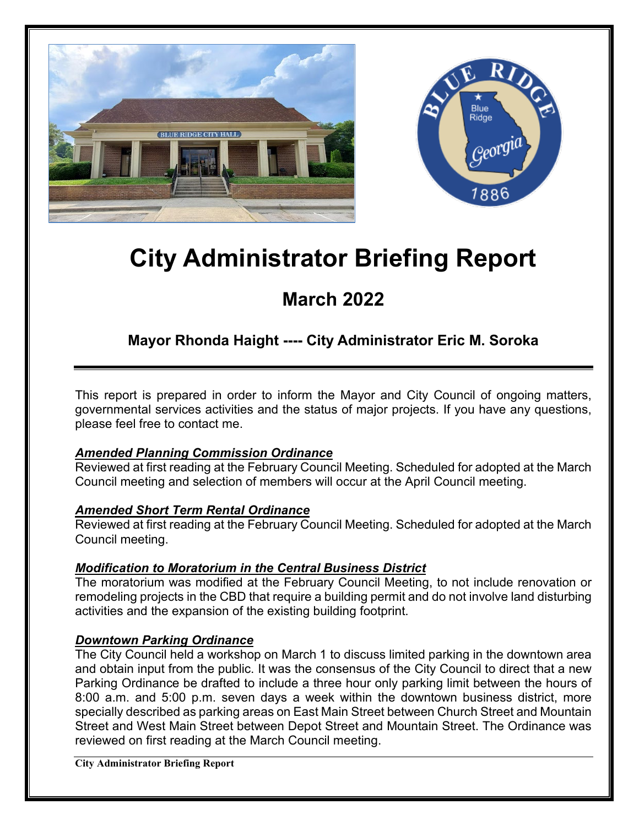



# **City Administrator Briefing Report**

## **March 2022**

## **Mayor Rhonda Haight ---- City Administrator Eric M. Soroka**

This report is prepared in order to inform the Mayor and City Council of ongoing matters, governmental services activities and the status of major projects. If you have any questions, please feel free to contact me.

#### *Amended Planning Commission Ordinance*

Reviewed at first reading at the February Council Meeting. Scheduled for adopted at the March Council meeting and selection of members will occur at the April Council meeting.

#### *Amended Short Term Rental Ordinance*

Reviewed at first reading at the February Council Meeting. Scheduled for adopted at the March Council meeting.

#### *Modification to Moratorium in the Central Business District*

The moratorium was modified at the February Council Meeting, to not include renovation or remodeling projects in the CBD that require a building permit and do not involve land disturbing activities and the expansion of the existing building footprint.

#### *Downtown Parking Ordinance*

The City Council held a workshop on March 1 to discuss limited parking in the downtown area and obtain input from the public. It was the consensus of the City Council to direct that a new Parking Ordinance be drafted to include a three hour only parking limit between the hours of 8:00 a.m. and 5:00 p.m. seven days a week within the downtown business district, more specially described as parking areas on East Main Street between Church Street and Mountain Street and West Main Street between Depot Street and Mountain Street. The Ordinance was reviewed on first reading at the March Council meeting.

**City Administrator Briefing Report**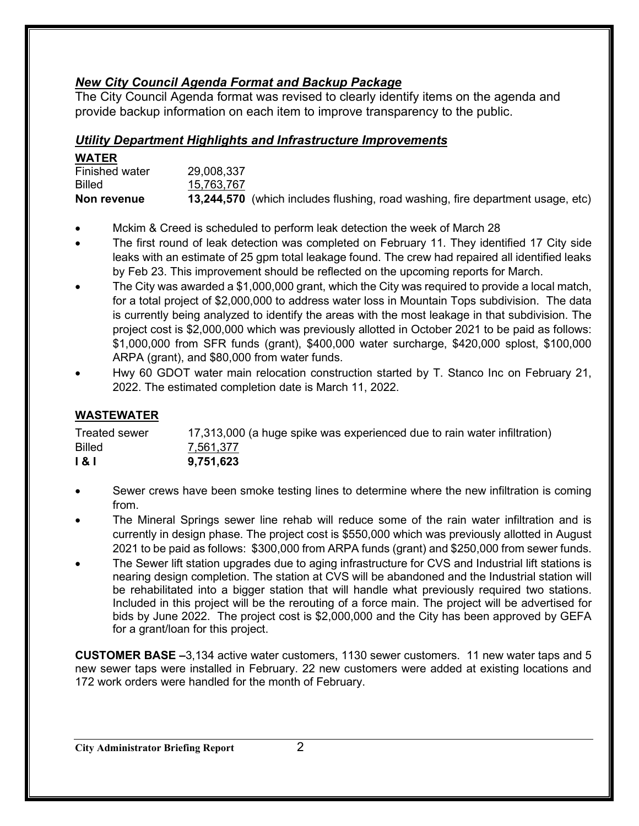#### *New City Council Agenda Format and Backup Package*

The City Council Agenda format was revised to clearly identify items on the agenda and provide backup information on each item to improve transparency to the public.

#### *Utility Department Highlights and Infrastructure Improvements*

| <b>WATER</b>   |            |                                                                                       |
|----------------|------------|---------------------------------------------------------------------------------------|
| Finished water | 29,008,337 |                                                                                       |
| <b>Billed</b>  | 15,763,767 |                                                                                       |
| Non revenue    |            | <b>13,244,570</b> (which includes flushing, road washing, fire department usage, etc) |

- Mckim & Creed is scheduled to perform leak detection the week of March 28
- The first round of leak detection was completed on February 11. They identified 17 City side leaks with an estimate of 25 gpm total leakage found. The crew had repaired all identified leaks by Feb 23. This improvement should be reflected on the upcoming reports for March.
- The City was awarded a \$1,000,000 grant, which the City was required to provide a local match, for a total project of \$2,000,000 to address water loss in Mountain Tops subdivision. The data is currently being analyzed to identify the areas with the most leakage in that subdivision. The project cost is \$2,000,000 which was previously allotted in October 2021 to be paid as follows: \$1,000,000 from SFR funds (grant), \$400,000 water surcharge, \$420,000 splost, \$100,000 ARPA (grant), and \$80,000 from water funds.
- Hwy 60 GDOT water main relocation construction started by T. Stanco Inc on February 21, 2022. The estimated completion date is March 11, 2022.

#### **WASTEWATER**

| <b>Treated sewer</b> | 17,313,000 (a huge spike was experienced due to rain water infiltration) |
|----------------------|--------------------------------------------------------------------------|
| <b>Billed</b>        | 7,561,377                                                                |
| 1 & I                | 9,751,623                                                                |

- Sewer crews have been smoke testing lines to determine where the new infiltration is coming from.
- The Mineral Springs sewer line rehab will reduce some of the rain water infiltration and is currently in design phase. The project cost is \$550,000 which was previously allotted in August 2021 to be paid as follows: \$300,000 from ARPA funds (grant) and \$250,000 from sewer funds.
- The Sewer lift station upgrades due to aging infrastructure for CVS and Industrial lift stations is nearing design completion. The station at CVS will be abandoned and the Industrial station will be rehabilitated into a bigger station that will handle what previously required two stations. Included in this project will be the rerouting of a force main. The project will be advertised for bids by June 2022. The project cost is \$2,000,000 and the City has been approved by GEFA for a grant/loan for this project.

**CUSTOMER BASE –**3,134 active water customers, 1130 sewer customers. 11 new water taps and 5 new sewer taps were installed in February. 22 new customers were added at existing locations and 172 work orders were handled for the month of February.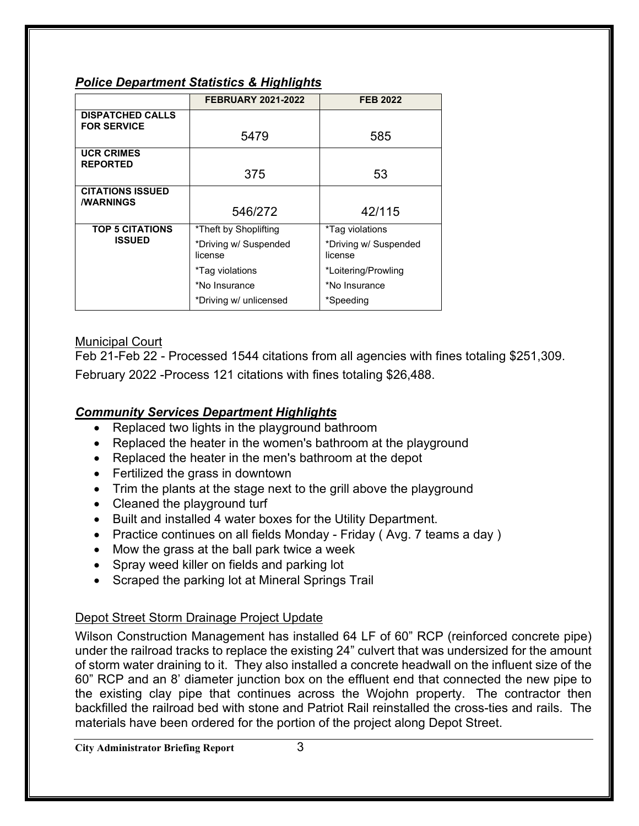### *Police Department Statistics & Highlights*

|                                                    | <b>FEBRUARY 2021-2022</b>                                                                                               | <b>FEB 2022</b>                                                                                          |
|----------------------------------------------------|-------------------------------------------------------------------------------------------------------------------------|----------------------------------------------------------------------------------------------------------|
| <b>DISPATCHED CALLS</b><br><b>FOR SERVICE</b>      | 5479                                                                                                                    | 585                                                                                                      |
| <b>UCR CRIMES</b><br><b>REPORTED</b>               | 375                                                                                                                     | 53                                                                                                       |
| <b>CITATIONS ISSUED</b><br><b><i>I</i>WARNINGS</b> | 546/272                                                                                                                 | 42/115                                                                                                   |
| <b>TOP 5 CITATIONS</b><br><b>ISSUED</b>            | *Theft by Shoplifting<br>*Driving w/ Suspended<br>license<br>*Tag violations<br>*No Insurance<br>*Driving w/ unlicensed | *Tag violations<br>*Driving w/ Suspended<br>license<br>*Loitering/Prowling<br>*No Insurance<br>*Speeding |

#### Municipal Court

Feb 21-Feb 22 - Processed 1544 citations from all agencies with fines totaling \$251,309. February 2022 -Process 121 citations with fines totaling \$26,488.

### *Community Services Department Highlights*

- Replaced two lights in the playground bathroom
- Replaced the heater in the women's bathroom at the playground
- Replaced the heater in the men's bathroom at the depot
- Fertilized the grass in downtown
- Trim the plants at the stage next to the grill above the playground
- Cleaned the playground turf
- Built and installed 4 water boxes for the Utility Department.
- Practice continues on all fields Monday Friday (Avg. 7 teams a day)
- Mow the grass at the ball park twice a week
- Spray weed killer on fields and parking lot
- Scraped the parking lot at Mineral Springs Trail

#### Depot Street Storm Drainage Project Update

Wilson Construction Management has installed 64 LF of 60" RCP (reinforced concrete pipe) under the railroad tracks to replace the existing 24" culvert that was undersized for the amount of storm water draining to it. They also installed a concrete headwall on the influent size of the 60" RCP and an 8' diameter junction box on the effluent end that connected the new pipe to the existing clay pipe that continues across the Wojohn property. The contractor then backfilled the railroad bed with stone and Patriot Rail reinstalled the cross-ties and rails. The materials have been ordered for the portion of the project along Depot Street.

**City Administrator Briefing Report** 3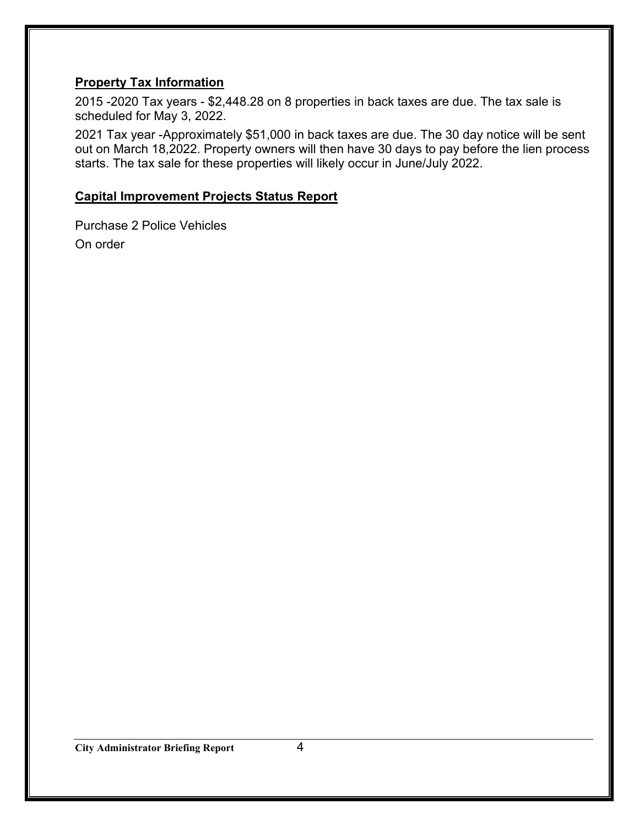#### **Property Tax Information**

2015 -2020 Tax years - \$2,448.28 on 8 properties in back taxes are due. The tax sale is scheduled for May 3, 2022.

2021 Tax year -Approximately \$51,000 in back taxes are due. The 30 day notice will be sent out on March 18,2022. Property owners will then have 30 days to pay before the lien process starts. The tax sale for these properties will likely occur in June/July 2022.

#### **Capital Improvement Projects Status Report**

Purchase 2 Police Vehicles On order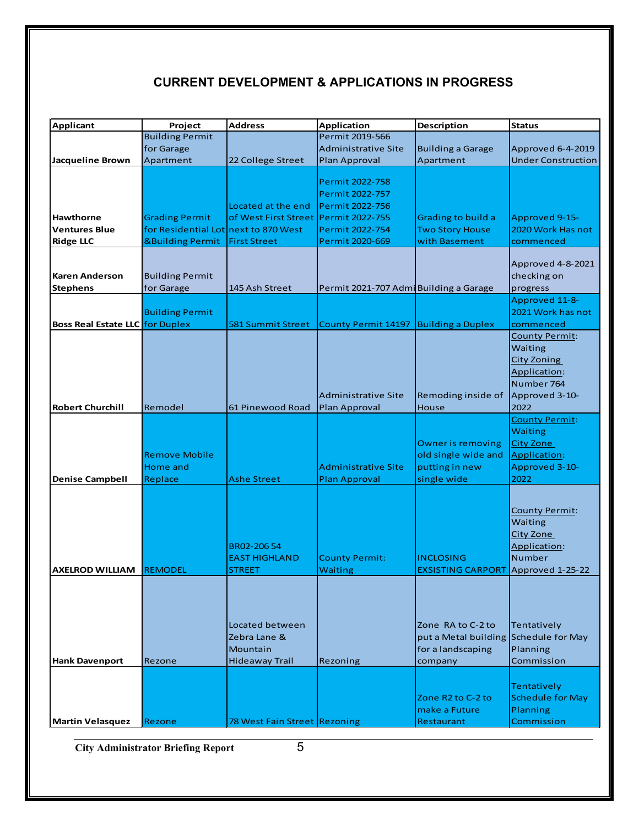### **CURRENT DEVELOPMENT & APPLICATIONS IN PROGRESS**

| <b>Applicant</b>                       | Project                              | <b>Address</b>               | Application                            | <b>Description</b>                    | <b>Status</b>             |
|----------------------------------------|--------------------------------------|------------------------------|----------------------------------------|---------------------------------------|---------------------------|
|                                        | <b>Building Permit</b>               |                              | Permit 2019-566                        |                                       |                           |
|                                        | for Garage                           |                              | <b>Administrative Site</b>             | <b>Building a Garage</b>              | Approved 6-4-2019         |
| <b>Jacqueline Brown</b>                | Apartment                            | 22 College Street            | Plan Approval                          | Apartment                             | <b>Under Construction</b> |
|                                        |                                      |                              |                                        |                                       |                           |
|                                        |                                      |                              | Permit 2022-758                        |                                       |                           |
|                                        |                                      |                              | Permit 2022-757                        |                                       |                           |
|                                        |                                      | Located at the end           | Permit 2022-756                        |                                       |                           |
| Hawthorne                              | <b>Grading Permit</b>                | of West First Street         | Permit 2022-755                        | Grading to build a                    | Approved 9-15-            |
| <b>Ventures Blue</b>                   | for Residential Lot next to 870 West |                              | Permit 2022-754                        | <b>Two Story House</b>                | 2020 Work Has not         |
| <b>Ridge LLC</b>                       | <b>&amp;Building Permit</b>          | <b>First Street</b>          | Permit 2020-669                        | with Basement                         | commenced                 |
|                                        |                                      |                              |                                        |                                       |                           |
|                                        |                                      |                              |                                        |                                       | Approved 4-8-2021         |
| <b>Karen Anderson</b>                  | <b>Building Permit</b>               |                              |                                        |                                       | checking on               |
| <b>Stephens</b>                        | for Garage                           | 145 Ash Street               | Permit 2021-707 Admi Building a Garage |                                       | progress                  |
|                                        |                                      |                              |                                        |                                       | Approved 11-8-            |
|                                        | <b>Building Permit</b>               |                              |                                        |                                       | 2021 Work has not         |
| <b>Boss Real Estate LLC for Duplex</b> |                                      | 581 Summit Street            | <b>County Permit 14197</b>             | <b>Building a Duplex</b>              | commenced                 |
|                                        |                                      |                              |                                        |                                       | County Permit:            |
|                                        |                                      |                              |                                        |                                       | Waiting                   |
|                                        |                                      |                              |                                        |                                       | <b>City Zoning</b>        |
|                                        |                                      |                              |                                        |                                       | Application:              |
|                                        |                                      |                              |                                        |                                       | Number 764                |
|                                        |                                      |                              | <b>Administrative Site</b>             | Remoding inside of                    | Approved 3-10-            |
| <b>Robert Churchill</b>                | Remodel                              | 61 Pinewood Road             | Plan Approval                          | House                                 | 2022                      |
|                                        |                                      |                              |                                        |                                       | <b>County Permit:</b>     |
|                                        |                                      |                              |                                        |                                       | <b>Waiting</b>            |
|                                        |                                      |                              |                                        | <b>Owner is removing</b>              | <b>City Zone</b>          |
|                                        | <b>Remove Mobile</b>                 |                              |                                        | old single wide and                   | Application:              |
|                                        | Home and                             |                              | <b>Administrative Site</b>             | putting in new                        | Approved 3-10-            |
| <b>Denise Campbell</b>                 | Replace                              | <b>Ashe Street</b>           | <b>Plan Approval</b>                   | single wide                           | 2022                      |
|                                        |                                      |                              |                                        |                                       |                           |
|                                        |                                      |                              |                                        |                                       |                           |
|                                        |                                      |                              |                                        |                                       | <b>County Permit:</b>     |
|                                        |                                      |                              |                                        |                                       | Waiting                   |
|                                        |                                      |                              |                                        |                                       | City Zone                 |
|                                        |                                      | BR02-20654                   |                                        |                                       | Application:              |
|                                        |                                      | <b>EAST HIGHLAND</b>         | <b>County Permit:</b>                  | <b>INCLOSING</b>                      | <b>Number</b>             |
| <b>AXELROD WILLIAM</b>                 | <b>REMODEL</b>                       | STREET                       | <b>Waiting</b>                         | <b>EXSISTING CARPORT</b>              | Approved 1-25-22          |
|                                        |                                      |                              |                                        |                                       |                           |
|                                        |                                      |                              |                                        |                                       |                           |
|                                        |                                      |                              |                                        |                                       |                           |
|                                        |                                      |                              |                                        |                                       |                           |
|                                        |                                      | Located between              |                                        | Zone RA to C-2 to                     | Tentatively               |
|                                        |                                      | Zebra Lane &                 |                                        | put a Metal building Schedule for May |                           |
|                                        |                                      | Mountain                     |                                        | for a landscaping                     | Planning                  |
| <b>Hank Davenport</b>                  | Rezone                               | <b>Hideaway Trail</b>        | Rezoning                               | company                               | Commission                |
|                                        |                                      |                              |                                        |                                       |                           |
|                                        |                                      |                              |                                        |                                       | Tentatively               |
|                                        |                                      |                              |                                        | Zone R2 to C-2 to                     | <b>Schedule for May</b>   |
|                                        |                                      |                              |                                        | make a Future                         | Planning                  |
|                                        |                                      |                              |                                        |                                       |                           |
| <b>Martin Velasquez</b>                | Rezone                               | 78 West Fain Street Rezoning |                                        | Restaurant                            | Commission                |

**City Administrator Briefing Report** 5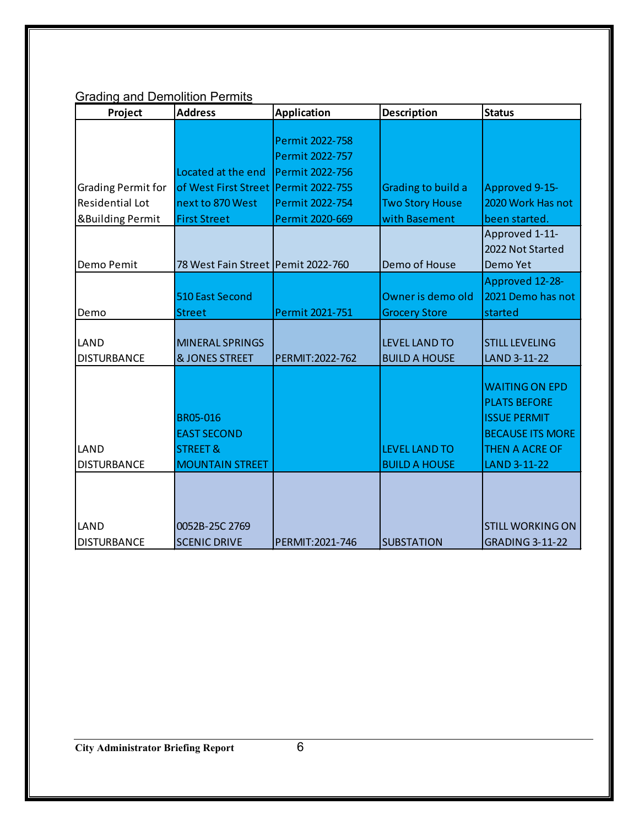## **Grading and Demolition Permits**

| Project                     | <b>Address</b>                       | <b>Application</b> | <b>Description</b>     | <b>Status</b>           |
|-----------------------------|--------------------------------------|--------------------|------------------------|-------------------------|
|                             |                                      |                    |                        |                         |
|                             |                                      | Permit 2022-758    |                        |                         |
|                             |                                      | Permit 2022-757    |                        |                         |
|                             | Located at the end                   | Permit 2022-756    |                        |                         |
| <b>Grading Permit for</b>   | of West First Street                 | Permit 2022-755    | Grading to build a     | Approved 9-15-          |
| <b>Residential Lot</b>      | next to 870 West                     | Permit 2022-754    | <b>Two Story House</b> | 2020 Work Has not       |
| <b>&amp;Building Permit</b> | <b>First Street</b>                  | Permit 2020-669    | with Basement          | been started.           |
|                             |                                      |                    |                        | Approved 1-11-          |
|                             |                                      |                    |                        | 2022 Not Started        |
| Demo Pemit                  | 78 West Fain Street   Pemit 2022-760 |                    | Demo of House          | Demo Yet                |
|                             |                                      |                    |                        | Approved 12-28-         |
|                             | 510 East Second                      |                    | Owner is demo old      | 2021 Demo has not       |
| Demo                        | <b>Street</b>                        | Permit 2021-751    | <b>Grocery Store</b>   | started                 |
|                             |                                      |                    |                        |                         |
| LAND                        | <b>MINERAL SPRINGS</b>               |                    | <b>LEVEL LAND TO</b>   | <b>STILL LEVELING</b>   |
| <b>DISTURBANCE</b>          | <b>&amp; JONES STREET</b>            | PERMIT: 2022-762   | <b>BUILD A HOUSE</b>   | LAND 3-11-22            |
|                             |                                      |                    |                        |                         |
|                             |                                      |                    |                        | <b>WAITING ON EPD</b>   |
|                             |                                      |                    |                        | <b>PLATS BEFORE</b>     |
|                             | <b>BR05-016</b>                      |                    |                        | <b>ISSUE PERMIT</b>     |
|                             | <b>EAST SECOND</b>                   |                    |                        | <b>BECAUSE ITS MORE</b> |
| LAND                        | <b>STREET &amp;</b>                  |                    | <b>LEVEL LAND TO</b>   | THEN A ACRE OF          |
| <b>DISTURBANCE</b>          | <b>MOUNTAIN STREET</b>               |                    | <b>BUILD A HOUSE</b>   | LAND 3-11-22            |
|                             |                                      |                    |                        |                         |
|                             |                                      |                    |                        |                         |
|                             |                                      |                    |                        |                         |
| LAND                        | 0052B-25C 2769                       |                    |                        | <b>STILL WORKING ON</b> |
| <b>DISTURBANCE</b>          | <b>SCENIC DRIVE</b>                  | PERMIT: 2021-746   | <b>SUBSTATION</b>      | <b>GRADING 3-11-22</b>  |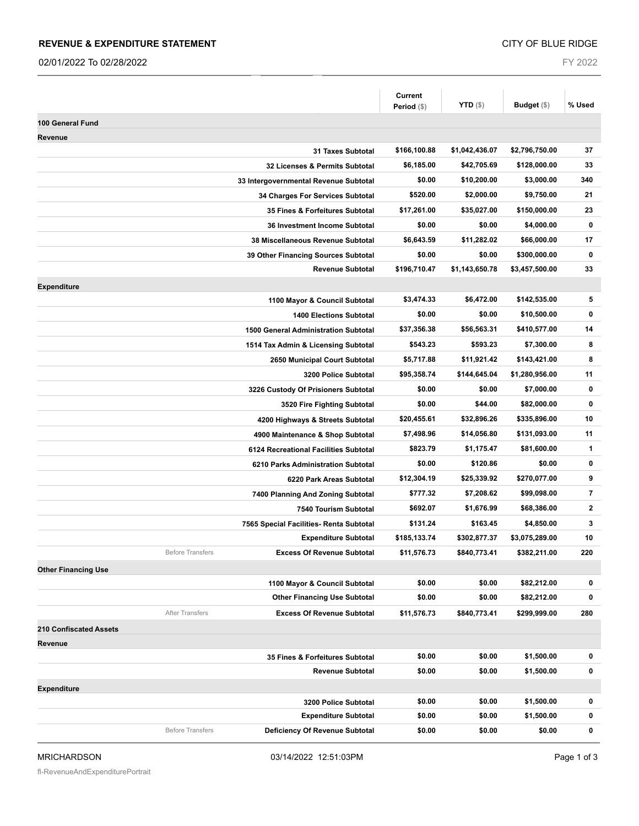#### **REVENUE & EXPENDITURE STATEMENT**

02/01/2022 To 02/28/2022

FY 2022

|                                                                | <b>Current</b><br>Period (\$) | <b>YTD</b> $(\$)$ | Budget (\$)    | % Used                  |
|----------------------------------------------------------------|-------------------------------|-------------------|----------------|-------------------------|
|                                                                |                               |                   |                |                         |
| 100 General Fund                                               |                               |                   |                |                         |
| Revenue<br>31 Taxes Subtotal                                   | \$166,100.88                  | \$1,042,436.07    | \$2,796,750.00 | 37                      |
| 32 Licenses & Permits Subtotal                                 | \$6,185.00                    | \$42,705.69       | \$128,000.00   | 33                      |
| 33 Intergovernmental Revenue Subtotal                          | \$0.00                        | \$10,200.00       | \$3,000.00     | 340                     |
| 34 Charges For Services Subtotal                               | \$520.00                      | \$2,000.00        | \$9,750.00     | 21                      |
| 35 Fines & Forfeitures Subtotal                                | \$17,261.00                   | \$35,027.00       | \$150,000.00   | 23                      |
| <b>36 Investment Income Subtotal</b>                           | \$0.00                        | \$0.00            | \$4,000.00     | 0                       |
| 38 Miscellaneous Revenue Subtotal                              | \$6,643.59                    | \$11,282.02       | \$66,000.00    | 17                      |
|                                                                | \$0.00                        | \$0.00            | \$300,000.00   | 0                       |
| 39 Other Financing Sources Subtotal<br><b>Revenue Subtotal</b> | \$196,710.47                  | \$1,143,650.78    | \$3,457,500.00 | 33                      |
|                                                                |                               |                   |                |                         |
| <b>Expenditure</b>                                             |                               | \$6,472.00        | \$142,535.00   | 5                       |
| 1100 Mayor & Council Subtotal                                  | \$3,474.33<br>\$0.00          | \$0.00            | \$10,500.00    | 0                       |
| <b>1400 Elections Subtotal</b>                                 |                               |                   |                |                         |
| <b>1500 General Administration Subtotal</b>                    | \$37,356.38                   | \$56,563.31       | \$410,577.00   | 14                      |
| 1514 Tax Admin & Licensing Subtotal                            | \$543.23                      | \$593.23          | \$7,300.00     | 8                       |
| 2650 Municipal Court Subtotal                                  | \$5,717.88                    | \$11,921.42       | \$143,421.00   | 8                       |
| 3200 Police Subtotal                                           | \$95,358.74                   | \$144,645.04      | \$1,280,956.00 | 11                      |
| 3226 Custody Of Prisioners Subtotal                            | \$0.00                        | \$0.00            | \$7,000.00     | 0                       |
| 3520 Fire Fighting Subtotal                                    | \$0.00                        | \$44.00           | \$82,000.00    | 0                       |
| 4200 Highways & Streets Subtotal                               | \$20,455.61                   | \$32,896.26       | \$335,896.00   | 10                      |
| 4900 Maintenance & Shop Subtotal                               | \$7,498.96                    | \$14,056.80       | \$131,093.00   | 11                      |
| 6124 Recreational Facilities Subtotal                          | \$823.79                      | \$1,175.47        | \$81,600.00    | 1                       |
| 6210 Parks Administration Subtotal                             | \$0.00                        | \$120.86          | \$0.00         | 0                       |
| 6220 Park Areas Subtotal                                       | \$12,304.19                   | \$25,339.92       | \$270,077.00   | 9                       |
| 7400 Planning And Zoning Subtotal                              | \$777.32                      | \$7,208.62        | \$99,098.00    | $\overline{\mathbf{r}}$ |
| 7540 Tourism Subtotal                                          | \$692.07                      | \$1,676.99        | \$68,386.00    | 2                       |
| 7565 Special Facilities- Renta Subtotal                        | \$131.24                      | \$163.45          | \$4,850.00     | 3                       |
| <b>Expenditure Subtotal</b>                                    | \$185,133.74                  | \$302,877.37      | \$3,075,289.00 | 10                      |
| <b>Before Transfers</b><br><b>Excess Of Revenue Subtotal</b>   | \$11,576.73                   | \$840,773.41      | \$382,211.00   | 220                     |
| <b>Other Financing Use</b>                                     |                               |                   |                |                         |
| 1100 Mayor & Council Subtotal                                  | \$0.00                        | \$0.00            | \$82,212.00    | 0                       |
| <b>Other Financing Use Subtotal</b>                            | \$0.00                        | \$0.00            | \$82,212.00    | 0                       |
| After Transfers<br><b>Excess Of Revenue Subtotal</b>           | \$11,576.73                   | \$840,773.41      | \$299,999.00   | 280                     |
| <b>210 Confiscated Assets</b>                                  |                               |                   |                |                         |
| Revenue                                                        |                               |                   |                |                         |
| 35 Fines & Forfeitures Subtotal                                | \$0.00                        | \$0.00            | \$1,500.00     | 0                       |
| <b>Revenue Subtotal</b>                                        | \$0.00                        | \$0.00            | \$1,500.00     | 0                       |
| <b>Expenditure</b>                                             |                               |                   |                |                         |
| 3200 Police Subtotal                                           | \$0.00                        | \$0.00            | \$1,500.00     | 0                       |
| <b>Expenditure Subtotal</b>                                    | \$0.00                        | \$0.00            | \$1,500.00     | 0                       |
| <b>Before Transfers</b><br>Deficiency Of Revenue Subtotal      | \$0.00                        | \$0.00            | \$0.00         | 0                       |
|                                                                |                               |                   |                |                         |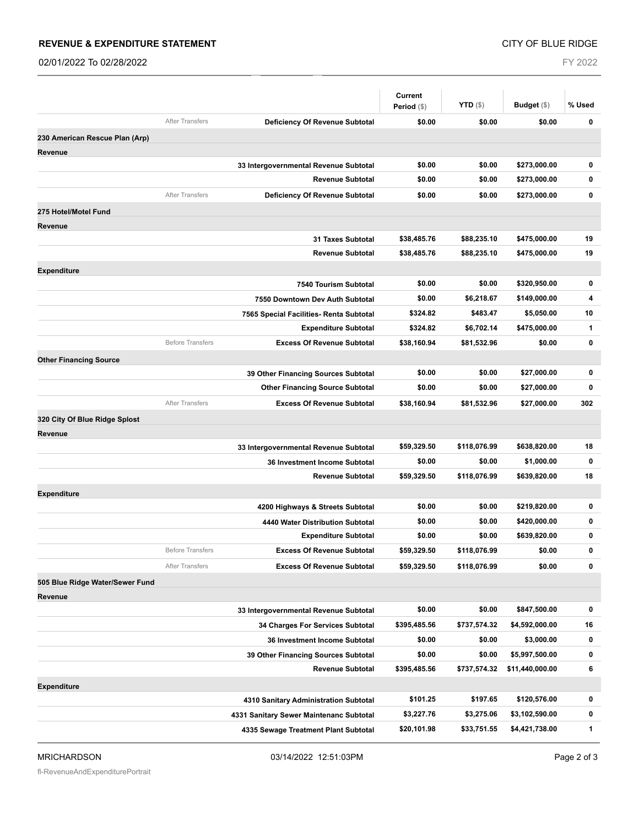#### **REVENUE & EXPENDITURE STATEMENT**

02/01/2022 To 02/28/2022

FY 2022

|                                 |                         |                                         | <b>Current</b> |                   |                 |              |
|---------------------------------|-------------------------|-----------------------------------------|----------------|-------------------|-----------------|--------------|
|                                 |                         |                                         | Period (\$)    | <b>YTD</b> $(\$)$ | Budget $(\$)$   | % Used       |
|                                 | <b>After Transfers</b>  | Deficiency Of Revenue Subtotal          | \$0.00         | \$0.00            | \$0.00          | 0            |
| 230 American Rescue Plan (Arp)  |                         |                                         |                |                   |                 |              |
| <b>Revenue</b>                  |                         |                                         |                |                   |                 |              |
|                                 |                         | 33 Intergovernmental Revenue Subtotal   | \$0.00         | \$0.00            | \$273,000.00    | 0            |
|                                 |                         | <b>Revenue Subtotal</b>                 | \$0.00         | \$0.00            | \$273,000.00    | $\bf{0}$     |
|                                 | <b>After Transfers</b>  | Deficiency Of Revenue Subtotal          | \$0.00         | \$0.00            | \$273,000.00    | $\mathbf 0$  |
| 275 Hotel/Motel Fund            |                         |                                         |                |                   |                 |              |
| Revenue                         |                         |                                         |                |                   |                 |              |
|                                 |                         | <b>31 Taxes Subtotal</b>                | \$38,485.76    | \$88,235.10       | \$475,000.00    | 19           |
|                                 |                         | <b>Revenue Subtotal</b>                 | \$38,485.76    | \$88,235.10       | \$475,000.00    | 19           |
| <b>Expenditure</b>              |                         |                                         |                |                   |                 |              |
|                                 |                         | 7540 Tourism Subtotal                   | \$0.00         | \$0.00            | \$320,950.00    | 0            |
|                                 |                         | 7550 Downtown Dev Auth Subtotal         | \$0.00         | \$6,218.67        | \$149,000.00    | 4            |
|                                 |                         | 7565 Special Facilities- Renta Subtotal | \$324.82       | \$483.47          | \$5,050.00      | 10           |
|                                 |                         | <b>Expenditure Subtotal</b>             | \$324.82       | \$6,702.14        | \$475,000.00    | 1            |
|                                 | <b>Before Transfers</b> | <b>Excess Of Revenue Subtotal</b>       | \$38,160.94    | \$81,532.96       | \$0.00          | $\bf{0}$     |
| <b>Other Financing Source</b>   |                         |                                         |                |                   |                 |              |
|                                 |                         | 39 Other Financing Sources Subtotal     | \$0.00         | \$0.00            | \$27,000.00     | $\pmb{0}$    |
|                                 |                         | <b>Other Financing Source Subtotal</b>  | \$0.00         | \$0.00            | \$27,000.00     | 0            |
|                                 | <b>After Transfers</b>  | <b>Excess Of Revenue Subtotal</b>       | \$38,160.94    | \$81,532.96       | \$27,000.00     | 302          |
| 320 City Of Blue Ridge Splost   |                         |                                         |                |                   |                 |              |
| Revenue                         |                         |                                         |                |                   |                 |              |
|                                 |                         | 33 Intergovernmental Revenue Subtotal   | \$59,329.50    | \$118,076.99      | \$638,820.00    | 18           |
|                                 |                         | 36 Investment Income Subtotal           | \$0.00         | \$0.00            | \$1,000.00      | $\mathbf 0$  |
|                                 |                         | <b>Revenue Subtotal</b>                 | \$59,329.50    | \$118,076.99      | \$639,820.00    | 18           |
| <b>Expenditure</b>              |                         |                                         |                |                   |                 |              |
|                                 |                         | 4200 Highways & Streets Subtotal        | \$0.00         | \$0.00            | \$219,820.00    | 0            |
|                                 |                         | 4440 Water Distribution Subtotal        | \$0.00         | \$0.00            | \$420,000.00    | 0            |
|                                 |                         | <b>Expenditure Subtotal</b>             | \$0.00         | \$0.00            | \$639,820.00    | 0            |
|                                 | <b>Before Transfers</b> | <b>Excess Of Revenue Subtotal</b>       | \$59,329.50    | \$118,076.99      | \$0.00          | 0            |
|                                 | <b>After Transfers</b>  | <b>Excess Of Revenue Subtotal</b>       | \$59,329.50    | \$118,076.99      | \$0.00          | 0            |
| 505 Blue Ridge Water/Sewer Fund |                         |                                         |                |                   |                 |              |
| Revenue                         |                         |                                         |                |                   |                 |              |
|                                 |                         | 33 Intergovernmental Revenue Subtotal   | \$0.00         | \$0.00            | \$847,500.00    | 0            |
|                                 |                         | 34 Charges For Services Subtotal        | \$395,485.56   | \$737,574.32      | \$4,592,000.00  | 16           |
|                                 |                         | <b>36 Investment Income Subtotal</b>    | \$0.00         | \$0.00            | \$3,000.00      | 0            |
|                                 |                         | 39 Other Financing Sources Subtotal     | \$0.00         | \$0.00            | \$5,997,500.00  | $\pmb{0}$    |
|                                 |                         | <b>Revenue Subtotal</b>                 | \$395,485.56   | \$737,574.32      | \$11,440,000.00 | 6            |
| <b>Expenditure</b>              |                         |                                         |                |                   |                 |              |
|                                 |                         | 4310 Sanitary Administration Subtotal   | \$101.25       | \$197.65          | \$120,576.00    | 0            |
|                                 |                         | 4331 Sanitary Sewer Maintenanc Subtotal | \$3,227.76     | \$3,275.06        | \$3,102,590.00  | 0            |
|                                 |                         | 4335 Sewage Treatment Plant Subtotal    | \$20,101.98    | \$33,751.55       | \$4,421,738.00  | $\mathbf{1}$ |
|                                 |                         |                                         |                |                   |                 |              |